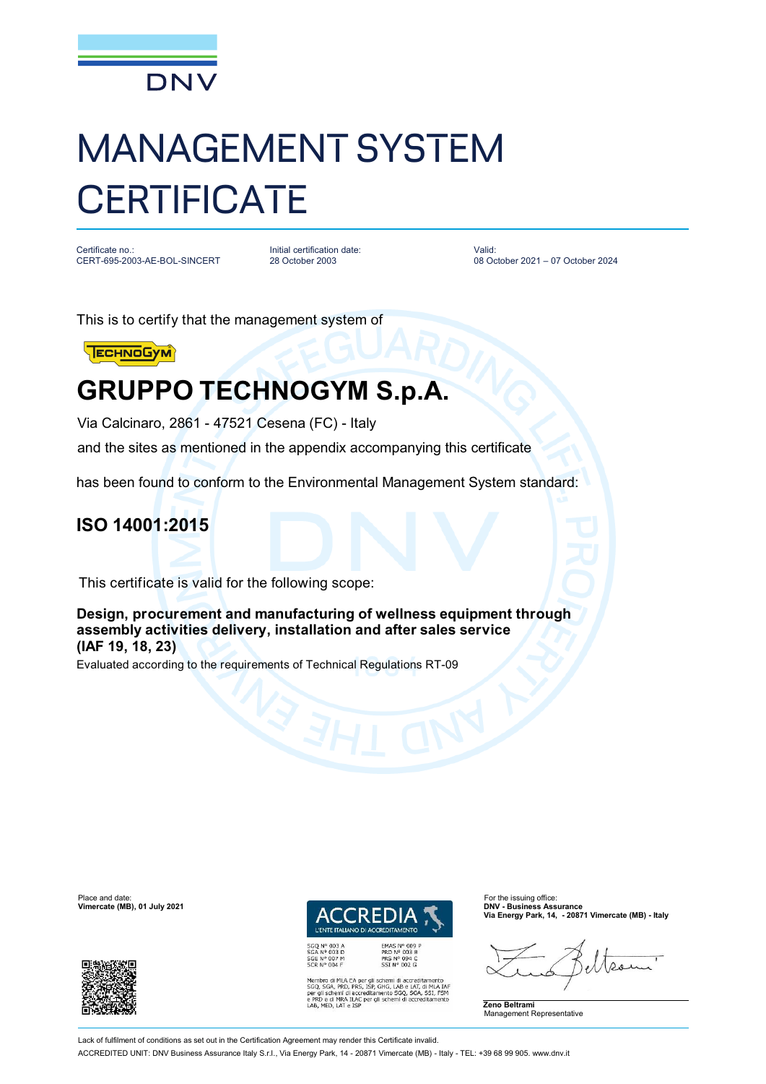

# MANAGEMENT SYSTEM **CERTIFICATE**

Certificate no.: CERT-695-2003-AE-BOL-SINCERT Initial certification date: 28 October 2003

Valid: 08 October 2021 – 07 October 2024

This is to certify that the management system of



## **GRUPPO TECHNOGYM S.p.A.**

Via Calcinaro, 2861 - 47521 Cesena (FC) - Italy

and the sites as mentioned in the appendix accompanying this certificate

has been found to conform to the Environmental Management System standard:

#### **ISO 14001:2015**

This certificate is valid for the following scope:

**Design, procurement and manufacturing of wellness equipment through assembly activities delivery, installation and after sales service (IAF 19, 18, 23)**

Evaluated according to the requirements of Technical Regulations RT-09

Place and date: For the issuing office:<br> **Place and date:** For the issuing office:<br> **Place and the interval of the issuing office:** For the issuing office:<br> **Place and the interval of the issuing office: Vimercate (MB), 01 July 2021** 



*I'ENTE ITALIANO DI AC* 

EMAS N° 009<br>PRD N° 003 B<br>PRS N° 094 C<br>SSI N° 002 G

Membro di MLA EA per gli schemi di accreditamento<br>SGQ, SGA, PRD, PRS, ISP, GHG, LAB e LAT, di MLA IAF<br>per gli schemi di accreditamento SGQ, SGA, SSI, FSM<br>e PRD e di MRA ILAC per gli schemi di accreditamento<br>LAB, MED, LAT e

**Via Energy Park, 14, - 20871 Vimercate (MB) - Italy**

**Zeno Beltrami** Management Representative

Lack of fulfilment of conditions as set out in the Certification Agreement may render this Certificate invalid.

ACCREDITED UNIT: DNV Business Assurance Italy S.r.l., Via Energy Park, 14 - 20871 Vimercate (MB) - Italy - TEL: +39 68 99 905. [www.dnv.it](http://www.dnv.it)